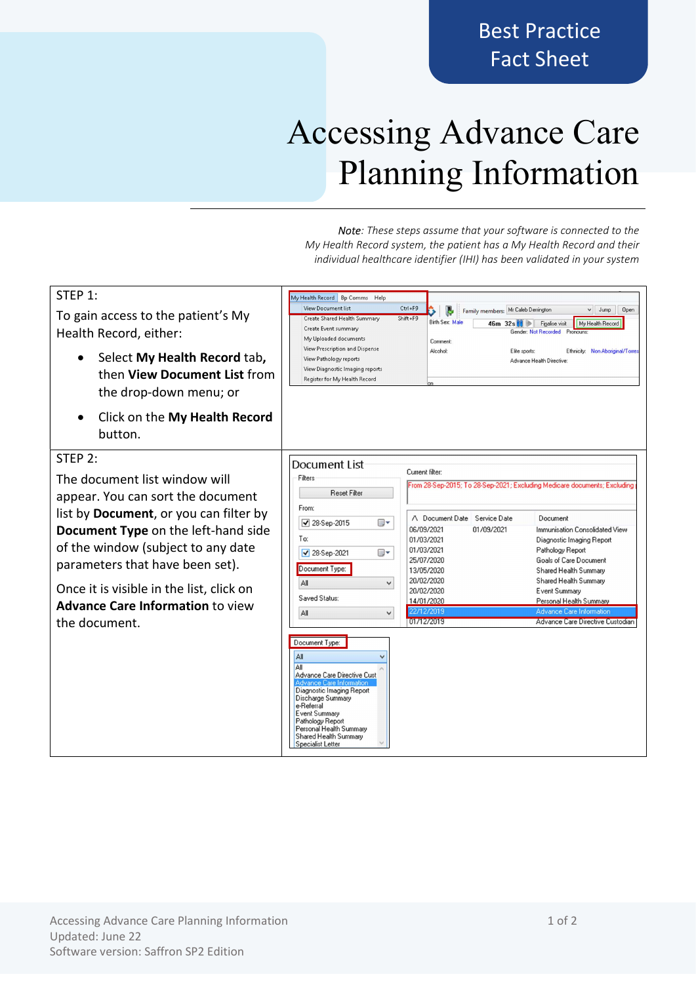# Best Practice Fact Sheet

# Accessing Advance Care Planning Information

Note: These steps assume that your software is connected to the My Health Record system, the patient has a My Health Record and their individual healthcare identifier (IHI) has been validated in your system